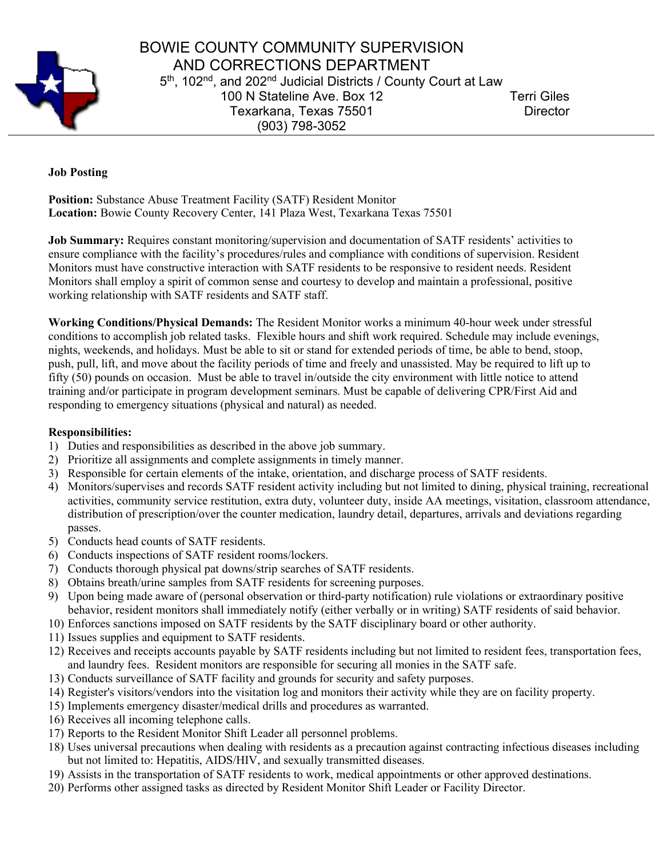

## BOWIE COUNTY COMMUNITY SUPERVISION AND CORRECTIONS DEPARTMENT 5<sup>th</sup>, 102<sup>nd</sup>, and 202<sup>nd</sup> Judicial Districts / County Court at Law 100 N Stateline Ave. Box 12 Terri Giles Texarkana, Texas 75501 Director (903) 798-3052

## **Job Posting**

**Position:** Substance Abuse Treatment Facility (SATF) Resident Monitor **Location:** Bowie County Recovery Center, 141 Plaza West, Texarkana Texas 75501

**Job Summary:** Requires constant monitoring/supervision and documentation of SATF residents' activities to ensure compliance with the facility's procedures/rules and compliance with conditions of supervision. Resident Monitors must have constructive interaction with SATF residents to be responsive to resident needs. Resident Monitors shall employ a spirit of common sense and courtesy to develop and maintain a professional, positive working relationship with SATF residents and SATF staff.

**Working Conditions/Physical Demands:** The Resident Monitor works a minimum 40-hour week under stressful conditions to accomplish job related tasks. Flexible hours and shift work required. Schedule may include evenings, nights, weekends, and holidays. Must be able to sit or stand for extended periods of time, be able to bend, stoop, push, pull, lift, and move about the facility periods of time and freely and unassisted. May be required to lift up to fifty (50) pounds on occasion. Must be able to travel in/outside the city environment with little notice to attend training and/or participate in program development seminars. Must be capable of delivering CPR/First Aid and responding to emergency situations (physical and natural) as needed.

## **Responsibilities:**

- 1) Duties and responsibilities as described in the above job summary.
- 2) Prioritize all assignments and complete assignments in timely manner.
- 3) Responsible for certain elements of the intake, orientation, and discharge process of SATF residents.
- 4) Monitors/supervises and records SATF resident activity including but not limited to dining, physical training, recreational activities, community service restitution, extra duty, volunteer duty, inside AA meetings, visitation, classroom attendance, distribution of prescription/over the counter medication, laundry detail, departures, arrivals and deviations regarding passes.
- 5) Conducts head counts of SATF residents.
- 6) Conducts inspections of SATF resident rooms/lockers.
- 7) Conducts thorough physical pat downs/strip searches of SATF residents.
- 8) Obtains breath/urine samples from SATF residents for screening purposes.
- 9) Upon being made aware of (personal observation or third-party notification) rule violations or extraordinary positive behavior, resident monitors shall immediately notify (either verbally or in writing) SATF residents of said behavior.
- 10) Enforces sanctions imposed on SATF residents by the SATF disciplinary board or other authority.
- 11) Issues supplies and equipment to SATF residents.
- 12) Receives and receipts accounts payable by SATF residents including but not limited to resident fees, transportation fees, and laundry fees. Resident monitors are responsible for securing all monies in the SATF safe.
- 13) Conducts surveillance of SATF facility and grounds for security and safety purposes.
- 14) Register's visitors/vendors into the visitation log and monitors their activity while they are on facility property.
- 15) Implements emergency disaster/medical drills and procedures as warranted.
- 16) Receives all incoming telephone calls.
- 17) Reports to the Resident Monitor Shift Leader all personnel problems.
- 18) Uses universal precautions when dealing with residents as a precaution against contracting infectious diseases including but not limited to: Hepatitis, AIDS/HIV, and sexually transmitted diseases.
- 19) Assists in the transportation of SATF residents to work, medical appointments or other approved destinations.
- 20) Performs other assigned tasks as directed by Resident Monitor Shift Leader or Facility Director.